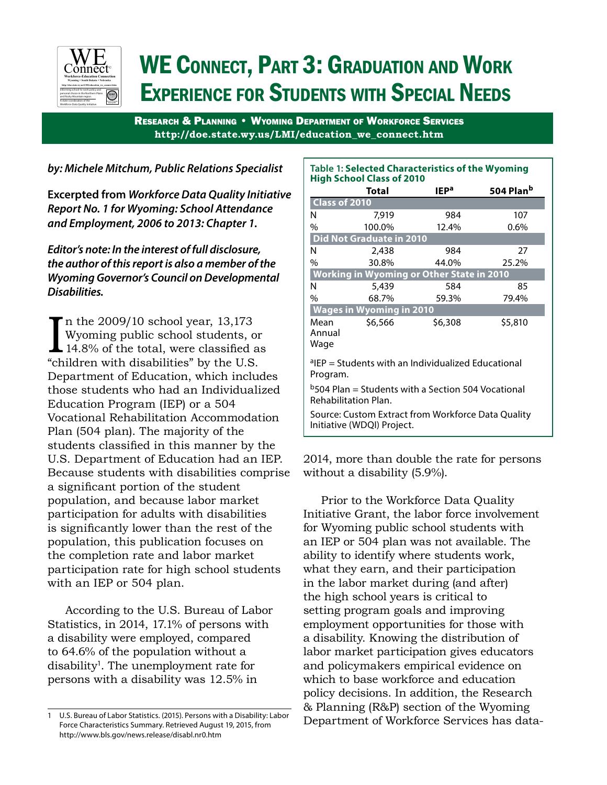

# WE Connect, Part 3: Graduation and Work Experience for Students with Special Needs

Research & Planning • Wyoming Department of Workforce Services **http://doe.state.wy.us/LMI/education\_we\_connect.htm**

## *by: Michele Mitchum, Public Relations Specialist*

**Excerpted from** *Workforce Data Quality Initiative Report No. 1 for Wyoming: School Attendance and Employment, 2006 to 2013: Chapter 1.* 

*Editor's note: In the interest of full disclosure, the author of this report is also a member of the Wyoming Governor's Council on Developmental Disabilities.*

 $\prod_{\text{min}}$ n the 2009/10 school year, 13,173 Wyoming public school students, or 14.8% of the total, were classified as "children with disabilities" by the U.S. Department of Education, which includes those students who had an Individualized Education Program (IEP) or a 504 Vocational Rehabilitation Accommodation Plan (504 plan). The majority of the students classified in this manner by the U.S. Department of Education had an IEP. Because students with disabilities comprise a significant portion of the student population, and because labor market participation for adults with disabilities is significantly lower than the rest of the population, this publication focuses on the completion rate and labor market participation rate for high school students with an IEP or 504 plan.

According to the U.S. Bureau of Labor Statistics, in 2014, 17.1% of persons with a disability were employed, compared to 64.6% of the population without a disability<sup>1</sup>. The unemployment rate for persons with a disability was 12.5% in

| <b>Table 1: Selected Characteristics of the Wyoming</b><br><b>High School Class of 2010</b> |                            |                  |                       |  |  |  |  |  |  |  |  |  |
|---------------------------------------------------------------------------------------------|----------------------------|------------------|-----------------------|--|--|--|--|--|--|--|--|--|
|                                                                                             | Total                      | IEP <sup>a</sup> | 504 Plan <sup>b</sup> |  |  |  |  |  |  |  |  |  |
| Class of 2010                                                                               |                            |                  |                       |  |  |  |  |  |  |  |  |  |
| N                                                                                           | 7.919                      | 984              | 107                   |  |  |  |  |  |  |  |  |  |
| $\%$                                                                                        | 100.0%                     | 12.4%            | 0.6%                  |  |  |  |  |  |  |  |  |  |
| <b>Did Not Graduate in 2010</b>                                                             |                            |                  |                       |  |  |  |  |  |  |  |  |  |
| N                                                                                           | 2,438                      | 984              | 27                    |  |  |  |  |  |  |  |  |  |
| $\frac{0}{0}$                                                                               | 30.8%                      | 44.0%            | 25.2%                 |  |  |  |  |  |  |  |  |  |
| Working in Wyoming or Other State in 2010                                                   |                            |                  |                       |  |  |  |  |  |  |  |  |  |
| N                                                                                           | 5,439                      | 584              | 85                    |  |  |  |  |  |  |  |  |  |
| $\frac{0}{0}$                                                                               | 68.7%                      | 59.3%            | 79.4%                 |  |  |  |  |  |  |  |  |  |
| <b>Wages in Wyoming in 2010</b>                                                             |                            |                  |                       |  |  |  |  |  |  |  |  |  |
| Mean                                                                                        | \$6,566                    | \$6,308          | \$5,810               |  |  |  |  |  |  |  |  |  |
| Annual                                                                                      |                            |                  |                       |  |  |  |  |  |  |  |  |  |
| Wage                                                                                        |                            |                  |                       |  |  |  |  |  |  |  |  |  |
| <sup>a</sup> IEP = Students with an Individualized Educational                              |                            |                  |                       |  |  |  |  |  |  |  |  |  |
| Program.                                                                                    |                            |                  |                       |  |  |  |  |  |  |  |  |  |
| <sup>b</sup> 504 Plan = Students with a Section 504 Vocational                              |                            |                  |                       |  |  |  |  |  |  |  |  |  |
| Rehabilitation Plan.                                                                        |                            |                  |                       |  |  |  |  |  |  |  |  |  |
| Source: Custom Extract from Workforce Data Quality                                          |                            |                  |                       |  |  |  |  |  |  |  |  |  |
|                                                                                             | Initiative (WDQI) Project. |                  |                       |  |  |  |  |  |  |  |  |  |

2014, more than double the rate for persons without a disability (5.9%).

Prior to the Workforce Data Quality Initiative Grant, the labor force involvement for Wyoming public school students with an IEP or 504 plan was not available. The ability to identify where students work, what they earn, and their participation in the labor market during (and after) the high school years is critical to setting program goals and improving employment opportunities for those with a disability. Knowing the distribution of labor market participation gives educators and policymakers empirical evidence on which to base workforce and education policy decisions. In addition, the Research & Planning (R&P) section of the Wyoming Department of Workforce Services has data-

<sup>1</sup> U.S. Bureau of Labor Statistics. (2015). Persons with a Disability: Labor Force Characteristics Summary. Retrieved August 19, 2015, from http://www.bls.gov/news.release/disabl.nr0.htm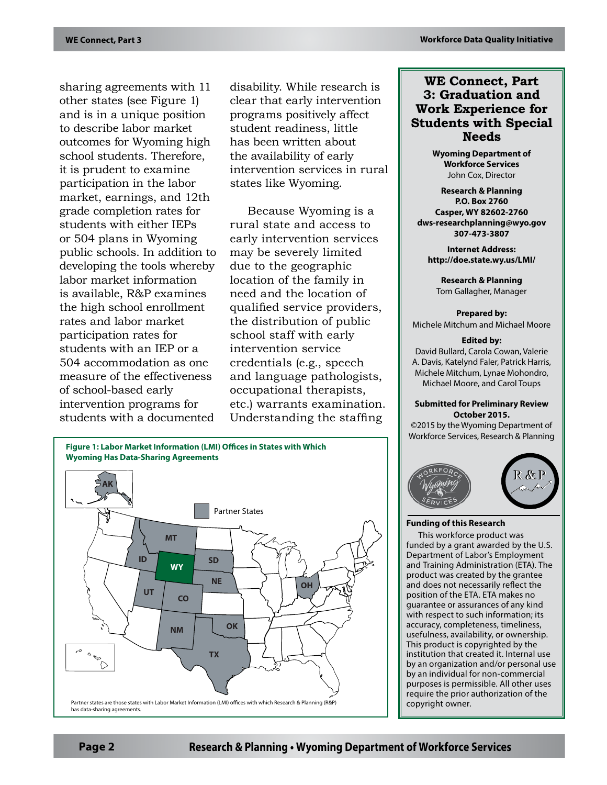sharing agreements with 11 other states (see Figure 1) and is in a unique position to describe labor market outcomes for Wyoming high school students. Therefore, it is prudent to examine participation in the labor market, earnings, and 12th grade completion rates for students with either IEPs or 504 plans in Wyoming public schools. In addition to developing the tools whereby labor market information is available, R&P examines the high school enrollment rates and labor market participation rates for students with an IEP or a 504 accommodation as one measure of the effectiveness of school-based early intervention programs for students with a documented

disability. While research is clear that early intervention programs positively affect student readiness, little has been written about the availability of early intervention services in rural states like Wyoming.

Because Wyoming is a rural state and access to early intervention services may be severely limited due to the geographic location of the family in need and the location of qualified service providers, the distribution of public school staff with early intervention service credentials (e.g., speech and language pathologists, occupational therapists, etc.) warrants examination. Understanding the staffing



## **WE Connect, Part 3: Graduation and Work Experience for Students with Special Needs**

**Wyoming Department of Workforce Services** John Cox, Director

**Research & Planning P.O. Box 2760 Casper, WY 82602-2760 dws-researchplanning@wyo.gov 307-473-3807**

**Internet Address: http://doe.state.wy.us/LMI/**

**Research & Planning** Tom Gallagher, Manager

#### **Prepared by:**

Michele Mitchum and Michael Moore

#### **Edited by:**

David Bullard, Carola Cowan, Valerie A. Davis, Katelynd Faler, Patrick Harris, Michele Mitchum, Lynae Mohondro, Michael Moore, and Carol Toups

#### **Submitted for Preliminary Review October 2015.**

©2015 by the Wyoming Department of Workforce Services, Research & Planning



### **Funding of this Research**

This workforce product was funded by a grant awarded by the U.S. Department of Labor's Employment and Training Administration (ETA). The product was created by the grantee and does not necessarily reflect the position of the ETA. ETA makes no guarantee or assurances of any kind with respect to such information; its accuracy, completeness, timeliness, usefulness, availability, or ownership. This product is copyrighted by the institution that created it. Internal use by an organization and/or personal use by an individual for non-commercial purposes is permissible. All other uses require the prior authorization of the copyright owner.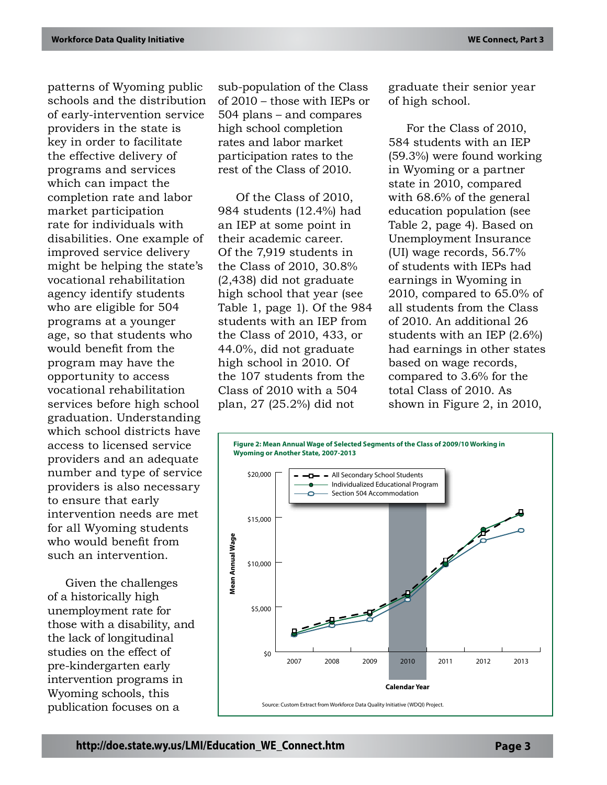patterns of Wyoming public schools and the distribution of early-intervention service providers in the state is key in order to facilitate the effective delivery of programs and services which can impact the completion rate and labor market participation rate for individuals with disabilities. One example of improved service delivery might be helping the state's vocational rehabilitation agency identify students who are eligible for 504 programs at a younger age, so that students who would benefit from the program may have the opportunity to access vocational rehabilitation services before high school graduation. Understanding which school districts have access to licensed service providers and an adequate number and type of service providers is also necessary to ensure that early intervention needs are met for all Wyoming students who would benefit from such an intervention.

Given the challenges of a historically high unemployment rate for those with a disability, and the lack of longitudinal studies on the effect of pre-kindergarten early intervention programs in Wyoming schools, this publication focuses on a

sub-population of the Class of 2010 – those with IEPs or 504 plans – and compares high school completion rates and labor market participation rates to the rest of the Class of 2010.

Of the Class of 2010, 984 students (12.4%) had an IEP at some point in their academic career. Of the 7,919 students in the Class of 2010, 30.8% (2,438) did not graduate high school that year (see Table 1, page 1). Of the 984 students with an IEP from the Class of 2010, 433, or 44.0%, did not graduate high school in 2010. Of the 107 students from the Class of 2010 with a 504 plan, 27 (25.2%) did not

graduate their senior year of high school.

For the Class of 2010, 584 students with an IEP (59.3%) were found working in Wyoming or a partner state in 2010, compared with 68.6% of the general education population (see Table 2, page 4). Based on Unemployment Insurance (UI) wage records, 56.7% of students with IEPs had earnings in Wyoming in 2010, compared to 65.0% of all students from the Class of 2010. An additional 26 students with an IEP (2.6%) had earnings in other states based on wage records, compared to 3.6% for the total Class of 2010. As shown in Figure 2, in 2010,